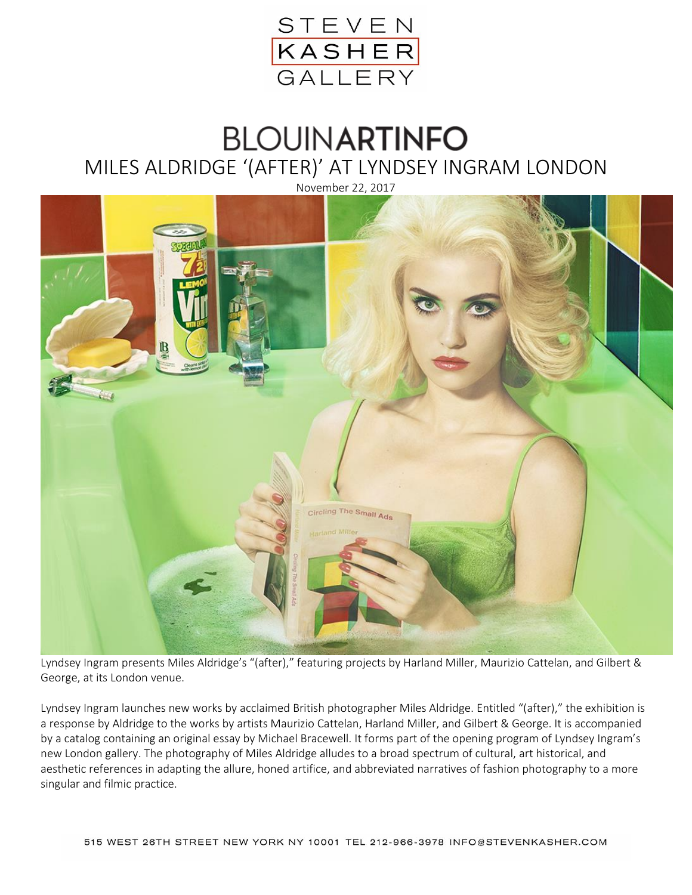

## **BLOUINARTINFO** MILES ALDRIDGE '(AFTER)' AT LYNDSEY INGRAM LONDON



Lyndsey Ingram presents Miles Aldridge's "(after)," featuring projects by Harland Miller, Maurizio Cattelan, and Gilbert & George, at its London venue.

Lyndsey Ingram launches new works by acclaimed British photographer Miles Aldridge. Entitled "(after)," the exhibition is a response by Aldridge to the works by artists Maurizio Cattelan, Harland Miller, and Gilbert & George. It is accompanied by a catalog containing an original essay by Michael Bracewell. It forms part of the opening program of Lyndsey Ingram's new London gallery. The photography of Miles Aldridge alludes to a broad spectrum of cultural, art historical, and aesthetic references in adapting the allure, honed artifice, and abbreviated narratives of fashion photography to a more singular and filmic practice.